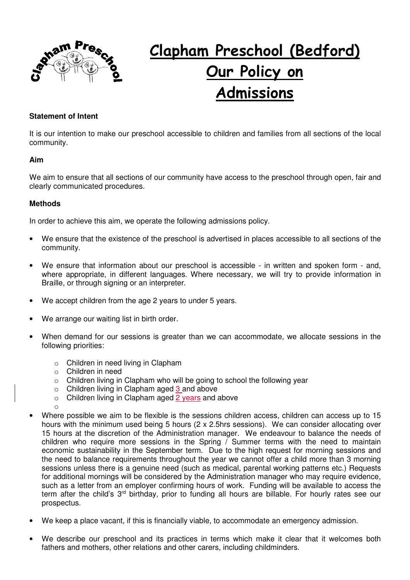

# **Clapham Preschool (Bedford) Our Policy on Admissions**

# **Statement of Intent**

It is our intention to make our preschool accessible to children and families from all sections of the local community.

#### **Aim**

We aim to ensure that all sections of our community have access to the preschool through open, fair and clearly communicated procedures.

## **Methods**

In order to achieve this aim, we operate the following admissions policy.

- We ensure that the existence of the preschool is advertised in places accessible to all sections of the community.
- We ensure that information about our preschool is accessible in written and spoken form and, where appropriate, in different languages. Where necessary, we will try to provide information in Braille, or through signing or an interpreter.
- We accept children from the age 2 years to under 5 years.
- We arrange our waiting list in birth order.
- When demand for our sessions is greater than we can accommodate, we allocate sessions in the following priorities:
	- o Children in need living in Clapham
	- o Children in need
	- o Children living in Clapham who will be going to school the following year
	- o Children living in Clapham aged 3 and above
	- $\circ$  Children living in Clapham aged 2 years and above
	- o
- Where possible we aim to be flexible is the sessions children access, children can access up to 15 hours with the minimum used being 5 hours (2 x 2.5hrs sessions). We can consider allocating over 15 hours at the discretion of the Administration manager. We endeavour to balance the needs of children who require more sessions in the Spring / Summer terms with the need to maintain economic sustainability in the September term. Due to the high request for morning sessions and the need to balance requirements throughout the year we cannot offer a child more than 3 morning sessions unless there is a genuine need (such as medical, parental working patterns etc.) Requests for additional mornings will be considered by the Administration manager who may require evidence, such as a letter from an employer confirming hours of work. Funding will be available to access the term after the child's 3<sup>rd</sup> birthday, prior to funding all hours are billable. For hourly rates see our prospectus.
- We keep a place vacant, if this is financially viable, to accommodate an emergency admission.
- We describe our preschool and its practices in terms which make it clear that it welcomes both fathers and mothers, other relations and other carers, including childminders.